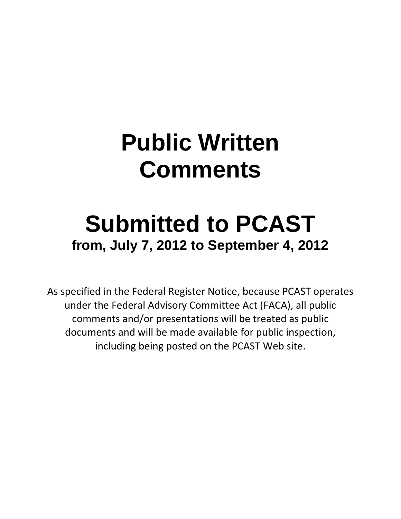## **Public Written Comments**

## **Submitted to PCAST from, July 7, 2012 to September 4, 2012**

As specified in the Federal Register Notice, because PCAST operates under the Federal Advisory Committee Act (FACA), all public comments and/or presentations will be treated as public documents and will be made available for public inspection, including being posted on the PCAST Web site.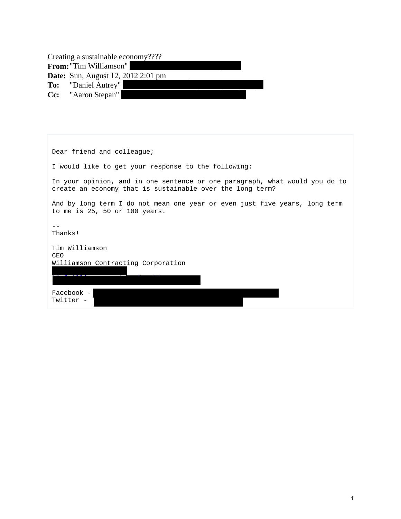Creating a sustainable economy????

**From:** "Tim Williamson" **Date:** Sun, August 12, 2012 2:01 pm

**To:** "Daniel Autrey" **Cc:** "Aaron Stepan"

Dear friend and colleague; I would like to get your response to the following: In your opinion, and in one sentence or one paragraph, what would you do to create an economy that is sustainable over the long term? And by long term I do not mean one year or even just five years, long term to me is 25, 50 or 100 years.  $-$ Thanks! Tim Williamson CEO Williamson Contracting Corporation tima williams in the first contraction of the contraction of the contraction of the contraction of the contraction Facebook -Twitter -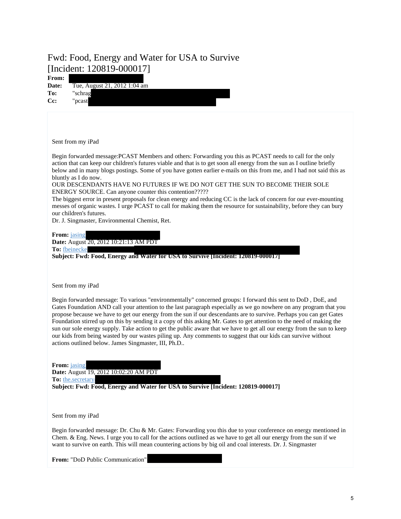## Fwd: Food, Energy and Water for USA to Survive [Incident: 120819-000017]

| From:<br>Date:<br>To:<br>Cc: | Tue, August 21, 2012 1:04 am<br>"schrag<br>"pcast                                                                                                                                                                                                                                                                                                                                                                                                                                                                                                                                                                                                                                                                                                                                      |
|------------------------------|----------------------------------------------------------------------------------------------------------------------------------------------------------------------------------------------------------------------------------------------------------------------------------------------------------------------------------------------------------------------------------------------------------------------------------------------------------------------------------------------------------------------------------------------------------------------------------------------------------------------------------------------------------------------------------------------------------------------------------------------------------------------------------------|
|                              | Sent from my iPad                                                                                                                                                                                                                                                                                                                                                                                                                                                                                                                                                                                                                                                                                                                                                                      |
|                              | Begin forwarded message: PCAST Members and others: Forwarding you this as PCAST needs to call for the only<br>action that can keep our children's futures viable and that is to get soon all energy from the sun as I outline briefly<br>below and in many blogs postings. Some of you have gotten earlier e-mails on this from me, and I had not said this as<br>bluntly as I do now.                                                                                                                                                                                                                                                                                                                                                                                                 |
|                              | OUR DESCENDANTS HAVE NO FUTURES IF WE DO NOT GET THE SUN TO BECOME THEIR SOLE<br>ENERGY SOURCE. Can anyone counter this contention?????<br>The biggest error in present proposals for clean energy and reducing CC is the lack of concern for our ever-mounting<br>messes of organic wastes. I urge PCAST to call for making them the resource for sustainability, before they can bury<br>our children's futures.                                                                                                                                                                                                                                                                                                                                                                     |
| From: jasing                 | Dr. J. Singmaster, Environmental Chemist, Ret.<br>Date: August 20, 2012 10:21:13 AM PDT<br>To: fbeinecke<br>Subject: Fwd: Food, Energy and Water for USA to Survive [Incident: 120819-000017]                                                                                                                                                                                                                                                                                                                                                                                                                                                                                                                                                                                          |
|                              | Sent from my iPad                                                                                                                                                                                                                                                                                                                                                                                                                                                                                                                                                                                                                                                                                                                                                                      |
|                              | Begin forwarded message: To various "environmentally" concerned groups: I forward this sent to DoD, DoE, and<br>Gates Foundation AND call your attention to the last paragraph especially as we go nowhere on any program that you<br>propose because we have to get our energy from the sun if our descendants are to survive. Perhaps you can get Gates<br>Foundation stirred up on this by sending it a copy of this asking Mr. Gates to get attention to the need of making the<br>sun our sole energy supply. Take action to get the public aware that we have to get all our energy from the sun to keep<br>our kids from being wasted by our wastes piling up. Any comments to suggest that our kids can survive without<br>actions outlined below. James Singmaster, III, Ph.D |
| From: jasing                 | Date: August 19, 2012 10:02:20 AM PDT<br>To: the.secretary<br>Subject: Fwd: Food, Energy and Water for USA to Survive [Incident: 120819-000017]                                                                                                                                                                                                                                                                                                                                                                                                                                                                                                                                                                                                                                        |
|                              | Sent from my iPad                                                                                                                                                                                                                                                                                                                                                                                                                                                                                                                                                                                                                                                                                                                                                                      |
|                              | Begin forwarded message: Dr. Chu & Mr. Gates: Forwarding you this due to your conference on energy mentioned in<br>Chem. & Eng. News. I urge you to call for the actions outlined as we have to get all our energy from the sun if we<br>want to survive on earth. This will mean countering actions by big oil and coal interests. Dr. J. Singmaster                                                                                                                                                                                                                                                                                                                                                                                                                                  |

From: "DoD Public Communication"